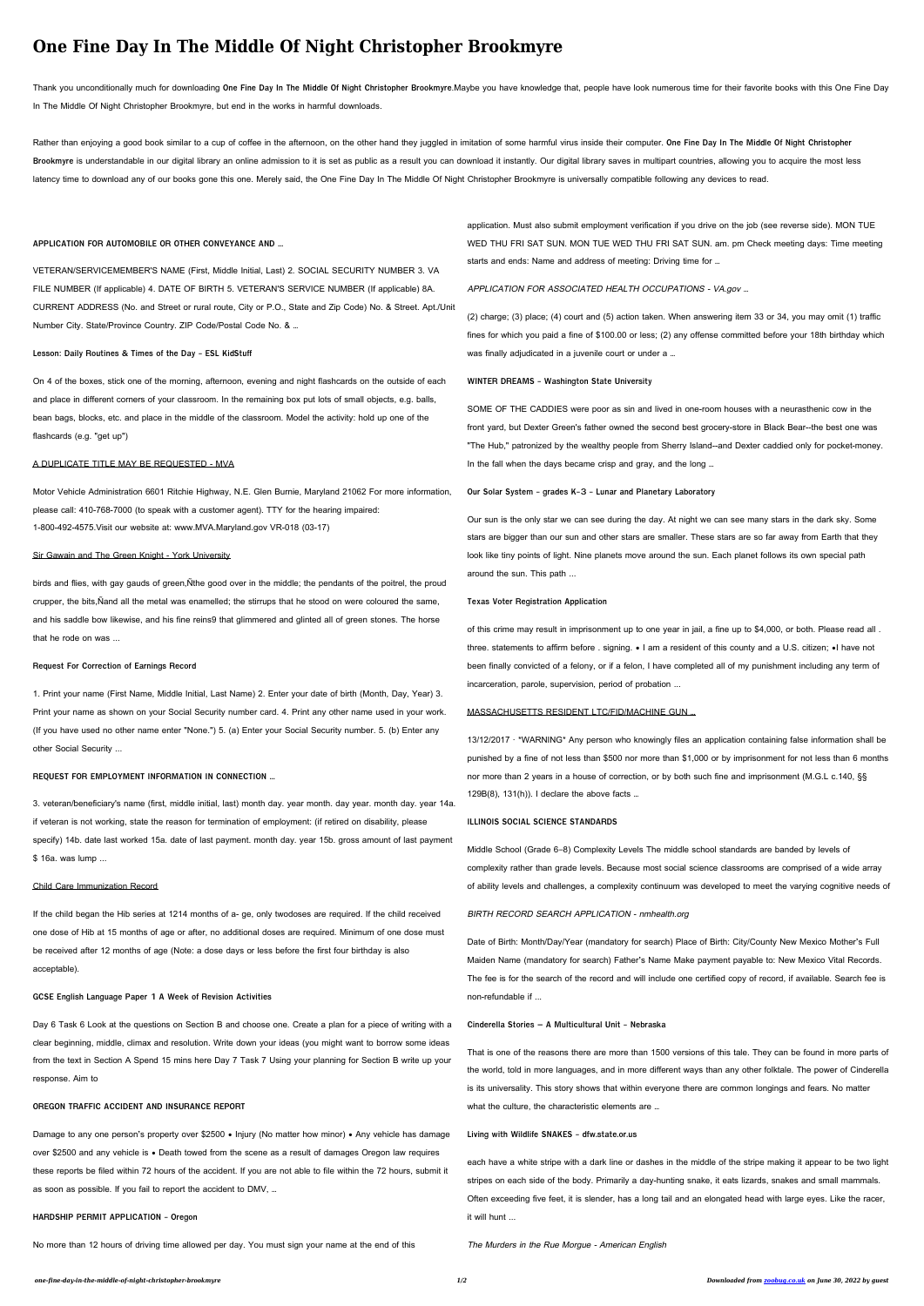# **One Fine Day In The Middle Of Night Christopher Brookmyre**

Rather than enjoying a good book similar to a cup of coffee in the afternoon, on the other hand they juggled in imitation of some harmful virus inside their computer. **One Fine Day In The Middle Of Night Christopher** Brookmyre is understandable in our digital library an online admission to it is set as public as a result you can download it instantly. Our digital library saves in multipart countries, allowing you to acquire the most le latency time to download any of our books gone this one. Merely said, the One Fine Day In The Middle Of Night Christopher Brookmyre is universally compatible following any devices to read.

Thank you unconditionally much for downloading **One Fine Day In The Middle Of Night Christopher Brookmyre**.Maybe you have knowledge that, people have look numerous time for their favorite books with this One Fine Day In The Middle Of Night Christopher Brookmyre, but end in the works in harmful downloads.

## **APPLICATION FOR AUTOMOBILE OR OTHER CONVEYANCE AND …**

VETERAN/SERVICEMEMBER'S NAME (First, Middle Initial, Last) 2. SOCIAL SECURITY NUMBER 3. VA FILE NUMBER (If applicable) 4. DATE OF BIRTH 5. VETERAN'S SERVICE NUMBER (If applicable) 8A. CURRENT ADDRESS (No. and Street or rural route, City or P.O., State and Zip Code) No. & Street. Apt./Unit Number City. State/Province Country. ZIP Code/Postal Code No. & …

## **Lesson: Daily Routines & Times of the Day - ESL KidStuff**

On 4 of the boxes, stick one of the morning, afternoon, evening and night flashcards on the outside of each and place in different corners of your classroom. In the remaining box put lots of small objects, e.g. balls, bean bags, blocks, etc. and place in the middle of the classroom. Model the activity: hold up one of the flashcards (e.g. "get up")

#### A DUPLICATE TITLE MAY BE REQUESTED - MVA

Motor Vehicle Administration 6601 Ritchie Highway, N.E. Glen Burnie, Maryland 21062 For more information, please call: 410-768-7000 (to speak with a customer agent). TTY for the hearing impaired: 1-800-492-4575.Visit our website at: www.MVA.Maryland.gov VR-018 (03-17)

#### Sir Gawain and The Green Knight - York University

birds and flies, with gay gauds of green,Ñthe good over in the middle; the pendants of the poitrel, the proud crupper, the bits,Ñand all the metal was enamelled; the stirrups that he stood on were coloured the same, and his saddle bow likewise, and his fine reins9 that glimmered and glinted all of green stones. The horse that he rode on was ...

(2) charge; (3) place; (4) court and (5) action taken. When answering item 33 or 34, you may omit (1) traffic fines for which you paid a fine of \$100.00 or less; (2) any offense committed before your 18th birthday which was finally adjudicated in a juvenile court or under a ...

## **Request For Correction of Earnings Record**

1. Print your name (First Name, Middle Initial, Last Name) 2. Enter your date of birth (Month, Day, Year) 3.

Print your name as shown on your Social Security number card. 4. Print any other name used in your work. (If you have used no other name enter "None.") 5. (a) Enter your Social Security number. 5. (b) Enter any other Social Security ...

# **REQUEST FOR EMPLOYMENT INFORMATION IN CONNECTION …**

3. veteran/beneficiary's name (first, middle initial, last) month day. year month. day year. month day. year 14a. if veteran is not working, state the reason for termination of employment: (if retired on disability, please specify) 14b. date last worked 15a. date of last payment. month day. year 15b. gross amount of last payment \$ 16a. was lump ...

13/12/2017 · \*WARNING\* Any person who knowingly files an application containing false information shall be punished by a fine of not less than \$500 nor more than \$1,000 or by imprisonment for not less than 6 months nor more than 2 years in a house of correction, or by both such fine and imprisonment (M.G.L c.140, §§  $129B(8)$ ,  $131(h)$ ). I declare the above facts ...

# Child Care Immunization Record

If the child began the Hib series at 1214 months of a- ge, only twodoses are required. If the child received one dose of Hib at 15 months of age or after, no additional doses are required. Minimum of one dose must be received after 12 months of age (Note: a dose days or less before the first four birthday is also acceptable).

### **GCSE English Language Paper 1 A Week of Revision Activities**

Day 6 Task 6 Look at the questions on Section B and choose one. Create a plan for a piece of writing with a clear beginning, middle, climax and resolution. Write down your ideas (you might want to borrow some ideas from the text in Section A Spend 15 mins here Day 7 Task 7 Using your planning for Section B write up your response. Aim to

#### **OREGON TRAFFIC ACCIDENT AND INSURANCE REPORT**

Damage to any one person's property over \$2500 • Injury (No matter how minor) • Any vehicle has damage over \$2500 and any vehicle is • Death towed from the scene as a result of damages Oregon law requires these reports be filed within 72 hours of the accident. If you are not able to file within the 72 hours, submit it as soon as possible. If you fail to report the accident to DMV, …

# **HARDSHIP PERMIT APPLICATION - Oregon**

No more than 12 hours of driving time allowed per day. You must sign your name at the end of this

application. Must also submit employment verification if you drive on the job (see reverse side). MON TUE WED THU FRI SAT SUN. MON TUE WED THU FRI SAT SUN. am. pm Check meeting days: Time meeting starts and ends: Name and address of meeting: Driving time for …

# APPLICATION FOR ASSOCIATED HEALTH OCCUPATIONS - VA.gov …

## **WINTER DREAMS - Washington State University**

SOME OF THE CADDIES were poor as sin and lived in one-room houses with a neurasthenic cow in the front yard, but Dexter Green's father owned the second best grocery-store in Black Bear--the best one was "The Hub," patronized by the wealthy people from Sherry Island--and Dexter caddied only for pocket-money. In the fall when the days became crisp and gray, and the long …

#### **Our Solar System - grades K-3 - Lunar and Planetary Laboratory**

Our sun is the only star we can see during the day. At night we can see many stars in the dark sky. Some stars are bigger than our sun and other stars are smaller. These stars are so far away from Earth that they look like tiny points of light. Nine planets move around the sun. Each planet follows its own special path around the sun. This path ...

## **Texas Voter Registration Application**

of this crime may result in imprisonment up to one year in jail, a fine up to \$4,000, or both. Please read all . three. statements to affirm before . signing. • I am a resident of this county and a U.S. citizen; •I have not been finally convicted of a felony, or if a felon, I have completed all of my punishment including any term of incarceration, parole, supervision, period of probation ...

## MASSACHUSETTS RESIDENT LTC/FID/MACHINE GUN …

## **ILLINOIS SOCIAL SCIENCE STANDARDS**

Middle School (Grade 6–8) Complexity Levels The middle school standards are banded by levels of complexity rather than grade levels. Because most social science classrooms are comprised of a wide array of ability levels and challenges, a complexity continuum was developed to meet the varying cognitive needs of

## BIRTH RECORD SEARCH APPLICATION - nmhealth.org

Date of Birth: Month/Day/Year (mandatory for search) Place of Birth: City/County New Mexico Mother's Full Maiden Name (mandatory for search) Father's Name Make payment payable to: New Mexico Vital Records. The fee is for the search of the record and will include one certified copy of record, if available. Search fee is non-refundable if ...

**Cinderella Stories – A Multicultural Unit - Nebraska**

That is one of the reasons there are more than 1500 versions of this tale. They can be found in more parts of the world, told in more languages, and in more different ways than any other folktale. The power of Cinderella is its universality. This story shows that within everyone there are common longings and fears. No matter what the culture, the characteristic elements are …

**Living with Wildlife SNAKES - dfw.state.or.us**

each have a white stripe with a dark line or dashes in the middle of the stripe making it appear to be two light stripes on each side of the body. Primarily a day-hunting snake, it eats lizards, snakes and small mammals. Often exceeding five feet, it is slender, has a long tail and an elongated head with large eyes. Like the racer, it will hunt ...

The Murders in the Rue Morgue - American English